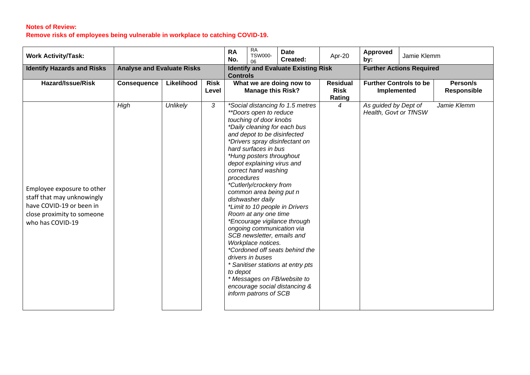## **Notes of Review: Remove risks of employees being vulnerable in workplace to catching COVID-19.**

| <b>Work Activity/Task:</b>                                                                                                             |                                   |            |                      | <b>RA</b><br>No.                                              | RA<br><b>TSW000-</b><br>06                                                                                                                                                                                                                                                                                                                                                                                                                                | <b>Date</b><br>Created:                                                                                                                                                                                                                                                     | Apr-20                                       | Approved<br>by:                               | Jamie Klemm                    |             |
|----------------------------------------------------------------------------------------------------------------------------------------|-----------------------------------|------------|----------------------|---------------------------------------------------------------|-----------------------------------------------------------------------------------------------------------------------------------------------------------------------------------------------------------------------------------------------------------------------------------------------------------------------------------------------------------------------------------------------------------------------------------------------------------|-----------------------------------------------------------------------------------------------------------------------------------------------------------------------------------------------------------------------------------------------------------------------------|----------------------------------------------|-----------------------------------------------|--------------------------------|-------------|
| <b>Identify Hazards and Risks</b>                                                                                                      | <b>Analyse and Evaluate Risks</b> |            |                      | <b>Identify and Evaluate Existing Risk</b><br><b>Controls</b> |                                                                                                                                                                                                                                                                                                                                                                                                                                                           |                                                                                                                                                                                                                                                                             | <b>Further Actions Required</b>              |                                               |                                |             |
| Hazard/Issue/Risk                                                                                                                      | <b>Consequence</b>                | Likelihood | <b>Risk</b><br>Level | What we are doing now to<br><b>Manage this Risk?</b>          |                                                                                                                                                                                                                                                                                                                                                                                                                                                           | <b>Residual</b><br><b>Risk</b><br>Rating                                                                                                                                                                                                                                    | <b>Further Controls to be</b><br>Implemented |                                               | Person/s<br><b>Responsible</b> |             |
| Employee exposure to other<br>staff that may unknowingly<br>have COVID-19 or been in<br>close proximity to someone<br>who has COVID-19 | High                              | Unlikely   | 3                    | procedures<br>to depot                                        | **Doors open to reduce<br>touching of door knobs<br>*Daily cleaning for each bus<br>and depot to be disinfected<br>hard surfaces in bus<br>*Hung posters throughout<br>depot explaining virus and<br>correct hand washing<br>*Cutlerly/crockery from<br>common area being put n<br>dishwasher daily<br>Room at any one time<br>ongoing communication via<br>SCB newsletter, emails and<br>Workplace notices.<br>drivers in buses<br>inform patrons of SCB | *Social distancing fo 1.5 metres<br>*Drivers spray disinfectant on<br>*Limit to 10 people in Drivers<br>*Encourage vigilance through<br>*Cordoned off seats behind the<br>* Sanitiser stations at entry pts<br>* Messages on FB/website to<br>encourage social distancing & | $\overline{4}$                               | As guided by Dept of<br>Health, Govt or TfNSW |                                | Jamie Klemm |